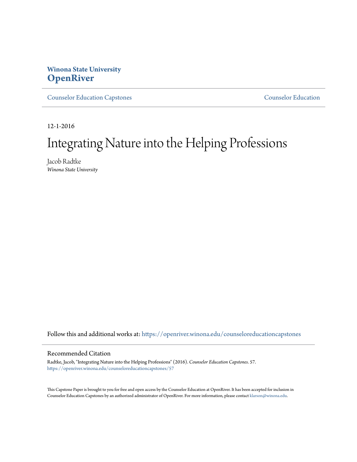# **Winona State University [OpenRiver](https://openriver.winona.edu?utm_source=openriver.winona.edu%2Fcounseloreducationcapstones%2F57&utm_medium=PDF&utm_campaign=PDFCoverPages)**

[Counselor Education Capstones](https://openriver.winona.edu/counseloreducationcapstones?utm_source=openriver.winona.edu%2Fcounseloreducationcapstones%2F57&utm_medium=PDF&utm_campaign=PDFCoverPages) [Counselor Education](https://openriver.winona.edu/counseloreducation?utm_source=openriver.winona.edu%2Fcounseloreducationcapstones%2F57&utm_medium=PDF&utm_campaign=PDFCoverPages)

12-1-2016

# Integrating Nature into the Helping Professions

Jacob Radtke *Winona State University*

Follow this and additional works at: [https://openriver.winona.edu/counseloreducationcapstones](https://openriver.winona.edu/counseloreducationcapstones?utm_source=openriver.winona.edu%2Fcounseloreducationcapstones%2F57&utm_medium=PDF&utm_campaign=PDFCoverPages)

#### Recommended Citation

Radtke, Jacob, "Integrating Nature into the Helping Professions" (2016). *Counselor Education Capstones*. 57. [https://openriver.winona.edu/counseloreducationcapstones/57](https://openriver.winona.edu/counseloreducationcapstones/57?utm_source=openriver.winona.edu%2Fcounseloreducationcapstones%2F57&utm_medium=PDF&utm_campaign=PDFCoverPages)

This Capstone Paper is brought to you for free and open access by the Counselor Education at OpenRiver. It has been accepted for inclusion in Counselor Education Capstones by an authorized administrator of OpenRiver. For more information, please contact [klarson@winona.edu](mailto:klarson@winona.edu).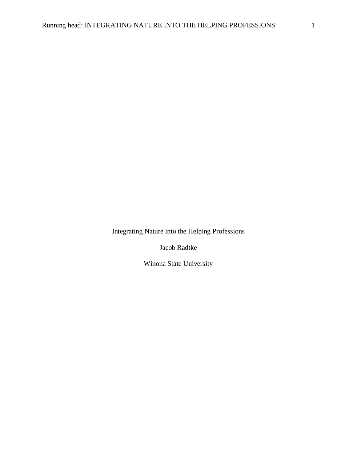Integrating Nature into the Helping Professions

Jacob Radtke

Winona State University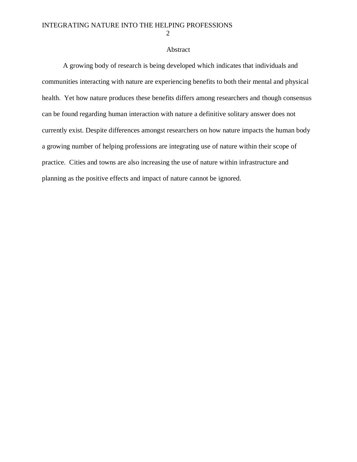#### Abstract

A growing body of research is being developed which indicates that individuals and communities interacting with nature are experiencing benefits to both their mental and physical health. Yet how nature produces these benefits differs among researchers and though consensus can be found regarding human interaction with nature a definitive solitary answer does not currently exist. Despite differences amongst researchers on how nature impacts the human body a growing number of helping professions are integrating use of nature within their scope of practice. Cities and towns are also increasing the use of nature within infrastructure and planning as the positive effects and impact of nature cannot be ignored.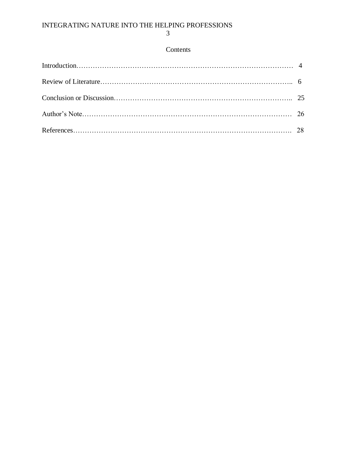3

## Contents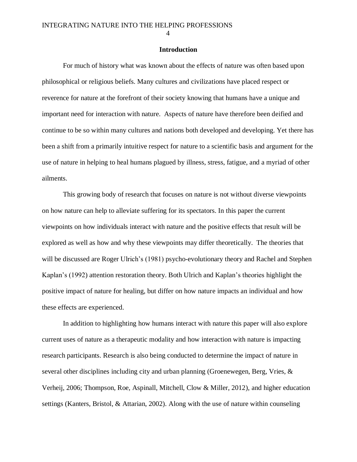4

#### **Introduction**

For much of history what was known about the effects of nature was often based upon philosophical or religious beliefs. Many cultures and civilizations have placed respect or reverence for nature at the forefront of their society knowing that humans have a unique and important need for interaction with nature. Aspects of nature have therefore been deified and continue to be so within many cultures and nations both developed and developing. Yet there has been a shift from a primarily intuitive respect for nature to a scientific basis and argument for the use of nature in helping to heal humans plagued by illness, stress, fatigue, and a myriad of other ailments.

This growing body of research that focuses on nature is not without diverse viewpoints on how nature can help to alleviate suffering for its spectators. In this paper the current viewpoints on how individuals interact with nature and the positive effects that result will be explored as well as how and why these viewpoints may differ theoretically. The theories that will be discussed are Roger Ulrich's (1981) psycho-evolutionary theory and Rachel and Stephen Kaplan's (1992) attention restoration theory. Both Ulrich and Kaplan's theories highlight the positive impact of nature for healing, but differ on how nature impacts an individual and how these effects are experienced.

In addition to highlighting how humans interact with nature this paper will also explore current uses of nature as a therapeutic modality and how interaction with nature is impacting research participants. Research is also being conducted to determine the impact of nature in several other disciplines including city and urban planning (Groenewegen, Berg, Vries, & Verheij, 2006; Thompson, Roe, Aspinall, Mitchell, Clow & Miller, 2012), and higher education settings (Kanters, Bristol, & Attarian, 2002). Along with the use of nature within counseling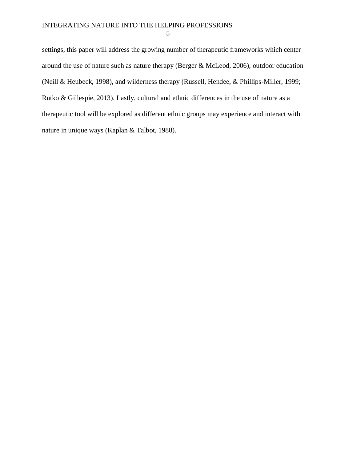settings, this paper will address the growing number of therapeutic frameworks which center around the use of nature such as nature therapy (Berger & McLeod, 2006), outdoor education (Neill & Heubeck, 1998), and wilderness therapy (Russell, Hendee, & Phillips-Miller, 1999; Rutko & Gillespie, 2013). Lastly, cultural and ethnic differences in the use of nature as a therapeutic tool will be explored as different ethnic groups may experience and interact with nature in unique ways (Kaplan & Talbot, 1988).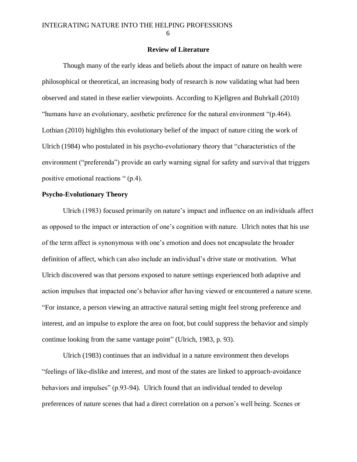6

### **Review of Literature**

Though many of the early ideas and beliefs about the impact of nature on health were philosophical or theoretical, an increasing body of research is now validating what had been observed and stated in these earlier viewpoints. According to Kjellgren and Buhrkall (2010) "humans have an evolutionary, aesthetic preference for the natural environment "(p.464). Lothian (2010) highlights this evolutionary belief of the impact of nature citing the work of Ulrich (1984) who postulated in his psycho-evolutionary theory that "characteristics of the environment ("preferenda") provide an early warning signal for safety and survival that triggers positive emotional reactions " (p.4).

#### **Psycho-Evolutionary Theory**

Ulrich (1983) focused primarily on nature's impact and influence on an individuals affect as opposed to the impact or interaction of one's cognition with nature. Ulrich notes that his use of the term affect is synonymous with one's emotion and does not encapsulate the broader definition of affect, which can also include an individual's drive state or motivation. What Ulrich discovered was that persons exposed to nature settings experienced both adaptive and action impulses that impacted one's behavior after having viewed or encountered a nature scene. "For instance, a person viewing an attractive natural setting might feel strong preference and interest, and an impulse to explore the area on foot, but could suppress the behavior and simply continue looking from the same vantage point" (Ulrich, 1983, p. 93).

Ulrich (1983) continues that an individual in a nature environment then develops "feelings of like-dislike and interest, and most of the states are linked to approach-avoidance behaviors and impulses" (p.93-94). Ulrich found that an individual tended to develop preferences of nature scenes that had a direct correlation on a person's well being. Scenes or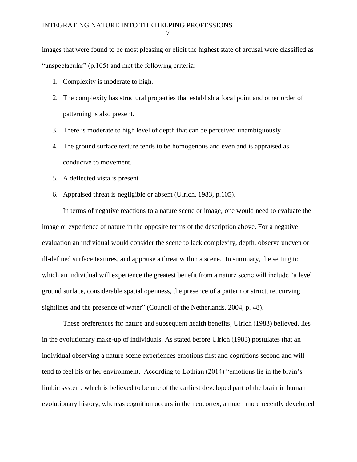images that were found to be most pleasing or elicit the highest state of arousal were classified as "unspectacular" (p.105) and met the following criteria:

- 1. Complexity is moderate to high.
- 2. The complexity has structural properties that establish a focal point and other order of patterning is also present.
- 3. There is moderate to high level of depth that can be perceived unambiguously
- 4. The ground surface texture tends to be homogenous and even and is appraised as conducive to movement.
- 5. A deflected vista is present
- 6. Appraised threat is negligible or absent (Ulrich, 1983, p.105).

In terms of negative reactions to a nature scene or image, one would need to evaluate the image or experience of nature in the opposite terms of the description above. For a negative evaluation an individual would consider the scene to lack complexity, depth, observe uneven or ill-defined surface textures, and appraise a threat within a scene. In summary, the setting to which an individual will experience the greatest benefit from a nature scene will include "a level ground surface, considerable spatial openness, the presence of a pattern or structure, curving sightlines and the presence of water" (Council of the Netherlands, 2004, p. 48).

These preferences for nature and subsequent health benefits, Ulrich (1983) believed, lies in the evolutionary make-up of individuals. As stated before Ulrich (1983) postulates that an individual observing a nature scene experiences emotions first and cognitions second and will tend to feel his or her environment. According to Lothian (2014) "emotions lie in the brain's limbic system, which is believed to be one of the earliest developed part of the brain in human evolutionary history, whereas cognition occurs in the neocortex, a much more recently developed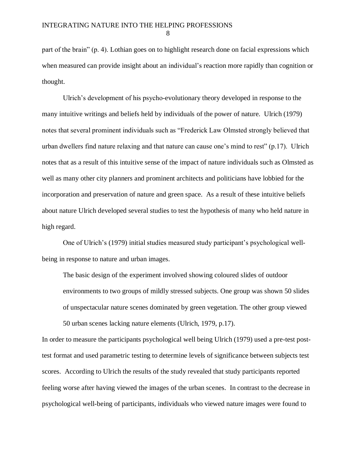part of the brain" (p. 4). Lothian goes on to highlight research done on facial expressions which when measured can provide insight about an individual's reaction more rapidly than cognition or thought.

Ulrich's development of his psycho-evolutionary theory developed in response to the many intuitive writings and beliefs held by individuals of the power of nature. Ulrich (1979) notes that several prominent individuals such as "Frederick Law Olmsted strongly believed that urban dwellers find nature relaxing and that nature can cause one's mind to rest" (p.17). Ulrich notes that as a result of this intuitive sense of the impact of nature individuals such as Olmsted as well as many other city planners and prominent architects and politicians have lobbied for the incorporation and preservation of nature and green space. As a result of these intuitive beliefs about nature Ulrich developed several studies to test the hypothesis of many who held nature in high regard.

One of Ulrich's (1979) initial studies measured study participant's psychological wellbeing in response to nature and urban images.

The basic design of the experiment involved showing coloured slides of outdoor environments to two groups of mildly stressed subjects. One group was shown 50 slides of unspectacular nature scenes dominated by green vegetation. The other group viewed 50 urban scenes lacking nature elements (Ulrich, 1979, p.17).

In order to measure the participants psychological well being Ulrich (1979) used a pre-test posttest format and used parametric testing to determine levels of significance between subjects test scores. According to Ulrich the results of the study revealed that study participants reported feeling worse after having viewed the images of the urban scenes. In contrast to the decrease in psychological well-being of participants, individuals who viewed nature images were found to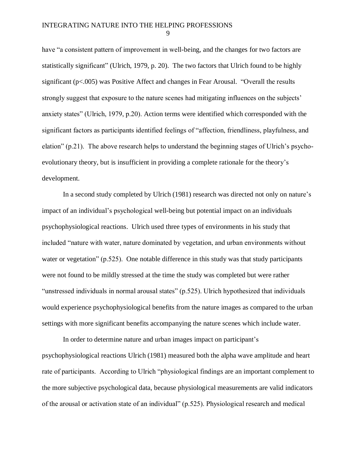have "a consistent pattern of improvement in well-being, and the changes for two factors are statistically significant" (Ulrich, 1979, p. 20). The two factors that Ulrich found to be highly significant (p<.005) was Positive Affect and changes in Fear Arousal. "Overall the results strongly suggest that exposure to the nature scenes had mitigating influences on the subjects' anxiety states" (Ulrich, 1979, p.20). Action terms were identified which corresponded with the significant factors as participants identified feelings of "affection, friendliness, playfulness, and elation" (p.21). The above research helps to understand the beginning stages of Ulrich's psychoevolutionary theory, but is insufficient in providing a complete rationale for the theory's development.

In a second study completed by Ulrich (1981) research was directed not only on nature's impact of an individual's psychological well-being but potential impact on an individuals psychophysiological reactions. Ulrich used three types of environments in his study that included "nature with water, nature dominated by vegetation, and urban environments without water or vegetation" (p.525). One notable difference in this study was that study participants were not found to be mildly stressed at the time the study was completed but were rather "unstressed individuals in normal arousal states" (p.525). Ulrich hypothesized that individuals would experience psychophysiological benefits from the nature images as compared to the urban settings with more significant benefits accompanying the nature scenes which include water.

In order to determine nature and urban images impact on participant's psychophysiological reactions Ulrich (1981) measured both the alpha wave amplitude and heart rate of participants. According to Ulrich "physiological findings are an important complement to the more subjective psychological data, because physiological measurements are valid indicators of the arousal or activation state of an individual" (p.525). Physiological research and medical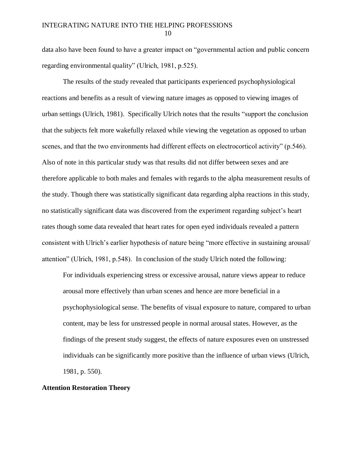data also have been found to have a greater impact on "governmental action and public concern regarding environmental quality" (Ulrich, 1981, p.525).

The results of the study revealed that participants experienced psychophysiological reactions and benefits as a result of viewing nature images as opposed to viewing images of urban settings (Ulrich, 1981). Specifically Ulrich notes that the results "support the conclusion that the subjects felt more wakefully relaxed while viewing the vegetation as opposed to urban scenes, and that the two environments had different effects on electrocorticol activity" (p.546). Also of note in this particular study was that results did not differ between sexes and are therefore applicable to both males and females with regards to the alpha measurement results of the study. Though there was statistically significant data regarding alpha reactions in this study, no statistically significant data was discovered from the experiment regarding subject's heart rates though some data revealed that heart rates for open eyed individuals revealed a pattern consistent with Ulrich's earlier hypothesis of nature being "more effective in sustaining arousal/ attention" (Ulrich, 1981, p.548). In conclusion of the study Ulrich noted the following:

For individuals experiencing stress or excessive arousal, nature views appear to reduce arousal more effectively than urban scenes and hence are more beneficial in a psychophysiological sense. The benefits of visual exposure to nature, compared to urban content, may be less for unstressed people in normal arousal states. However, as the findings of the present study suggest, the effects of nature exposures even on unstressed individuals can be significantly more positive than the influence of urban views (Ulrich, 1981, p. 550).

#### **Attention Restoration Theory**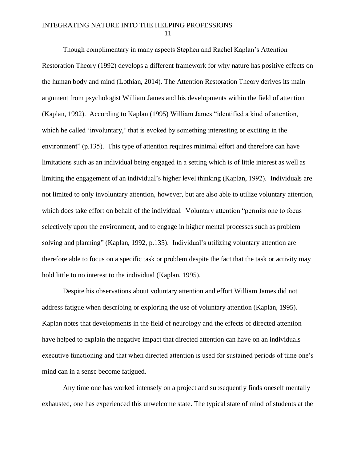Though complimentary in many aspects Stephen and Rachel Kaplan's Attention Restoration Theory (1992) develops a different framework for why nature has positive effects on the human body and mind (Lothian, 2014). The Attention Restoration Theory derives its main argument from psychologist William James and his developments within the field of attention (Kaplan, 1992). According to Kaplan (1995) William James "identified a kind of attention, which he called 'involuntary,' that is evoked by something interesting or exciting in the environment" (p.135). This type of attention requires minimal effort and therefore can have limitations such as an individual being engaged in a setting which is of little interest as well as limiting the engagement of an individual's higher level thinking (Kaplan, 1992). Individuals are not limited to only involuntary attention, however, but are also able to utilize voluntary attention, which does take effort on behalf of the individual. Voluntary attention "permits one to focus selectively upon the environment, and to engage in higher mental processes such as problem solving and planning" (Kaplan, 1992, p.135). Individual's utilizing voluntary attention are therefore able to focus on a specific task or problem despite the fact that the task or activity may hold little to no interest to the individual (Kaplan, 1995).

Despite his observations about voluntary attention and effort William James did not address fatigue when describing or exploring the use of voluntary attention (Kaplan, 1995). Kaplan notes that developments in the field of neurology and the effects of directed attention have helped to explain the negative impact that directed attention can have on an individuals executive functioning and that when directed attention is used for sustained periods of time one's mind can in a sense become fatigued.

Any time one has worked intensely on a project and subsequently finds oneself mentally exhausted, one has experienced this unwelcome state. The typical state of mind of students at the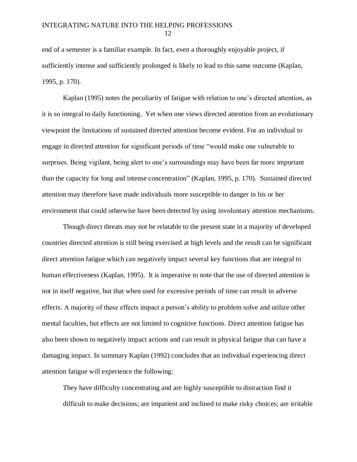end of a semester is a familiar example. In fact, even a thoroughly enjoyable project, if sufficiently intense and sufficiently prolonged is likely to lead to this same outcome (Kaplan, 1995, p. 170).

Kaplan (1995) notes the peculiarity of fatigue with relation to one's directed attention, as it is so integral to daily functioning. Yet when one views directed attention from an evolutionary viewpoint the limitations of sustained directed attention become evident. For an individual to engage in directed attention for significant periods of time "would make one vulnerable to surprises. Being vigilant, being alert to one's surroundings may have been far more important than the capacity for long and intense concentration" (Kaplan, 1995, p. 170). Sustained directed attention may therefore have made individuals more susceptible to danger in his or her environment that could otherwise have been detected by using involuntary attention mechanisms.

Though direct threats may not be relatable to the present state in a majority of developed countries directed attention is still being exercised at high levels and the result can be significant direct attention fatigue which can negatively impact several key functions that are integral to human effectiveness (Kaplan, 1995). It is imperative to note that the use of directed attention is not in itself negative, but that when used for excessive periods of time can result in adverse effects. A majority of these effects impact a person's ability to problem solve and utilize other mental faculties, but effects are not limited to cognitive functions. Direct attention fatigue has also been shown to negatively impact actions and can result in physical fatigue that can have a damaging impact. In summary Kaplan (1992) concludes that an individual experiencing direct attention fatigue will experience the following:

They have difficulty concentrating and are highly susceptible to distraction find it difficult to make decisions; are impatient and inclined to make risky choices; are irritable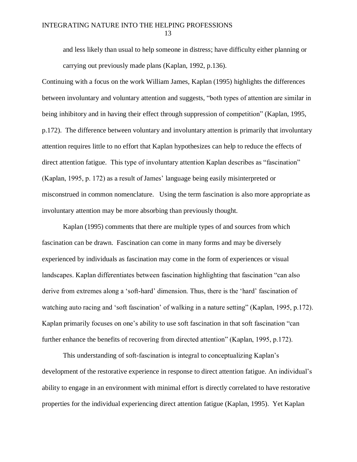and less likely than usual to help someone in distress; have difficulty either planning or carrying out previously made plans (Kaplan, 1992, p.136).

Continuing with a focus on the work William James, Kaplan (1995) highlights the differences between involuntary and voluntary attention and suggests, "both types of attention are similar in being inhibitory and in having their effect through suppression of competition" (Kaplan, 1995, p.172). The difference between voluntary and involuntary attention is primarily that involuntary attention requires little to no effort that Kaplan hypothesizes can help to reduce the effects of direct attention fatigue. This type of involuntary attention Kaplan describes as "fascination" (Kaplan, 1995, p. 172) as a result of James' language being easily misinterpreted or misconstrued in common nomenclature. Using the term fascination is also more appropriate as involuntary attention may be more absorbing than previously thought.

Kaplan (1995) comments that there are multiple types of and sources from which fascination can be drawn. Fascination can come in many forms and may be diversely experienced by individuals as fascination may come in the form of experiences or visual landscapes. Kaplan differentiates between fascination highlighting that fascination "can also derive from extremes along a 'soft-hard' dimension. Thus, there is the 'hard' fascination of watching auto racing and 'soft fascination' of walking in a nature setting" (Kaplan, 1995, p.172). Kaplan primarily focuses on one's ability to use soft fascination in that soft fascination "can further enhance the benefits of recovering from directed attention" (Kaplan, 1995, p.172).

This understanding of soft-fascination is integral to conceptualizing Kaplan's development of the restorative experience in response to direct attention fatigue. An individual's ability to engage in an environment with minimal effort is directly correlated to have restorative properties for the individual experiencing direct attention fatigue (Kaplan, 1995). Yet Kaplan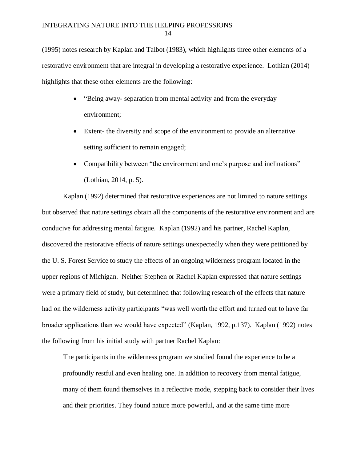(1995) notes research by Kaplan and Talbot (1983), which highlights three other elements of a restorative environment that are integral in developing a restorative experience. Lothian (2014) highlights that these other elements are the following:

- "Being away- separation from mental activity and from the everyday environment;
- Extent- the diversity and scope of the environment to provide an alternative setting sufficient to remain engaged;
- Compatibility between "the environment and one's purpose and inclinations" (Lothian, 2014, p. 5).

Kaplan (1992) determined that restorative experiences are not limited to nature settings but observed that nature settings obtain all the components of the restorative environment and are conducive for addressing mental fatigue. Kaplan (1992) and his partner, Rachel Kaplan, discovered the restorative effects of nature settings unexpectedly when they were petitioned by the U. S. Forest Service to study the effects of an ongoing wilderness program located in the upper regions of Michigan. Neither Stephen or Rachel Kaplan expressed that nature settings were a primary field of study, but determined that following research of the effects that nature had on the wilderness activity participants "was well worth the effort and turned out to have far broader applications than we would have expected" (Kaplan, 1992, p.137). Kaplan (1992) notes the following from his initial study with partner Rachel Kaplan:

The participants in the wilderness program we studied found the experience to be a profoundly restful and even healing one. In addition to recovery from mental fatigue, many of them found themselves in a reflective mode, stepping back to consider their lives and their priorities. They found nature more powerful, and at the same time more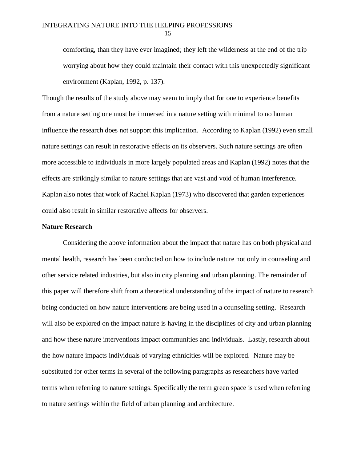comforting, than they have ever imagined; they left the wilderness at the end of the trip worrying about how they could maintain their contact with this unexpectedly significant environment (Kaplan, 1992, p. 137).

Though the results of the study above may seem to imply that for one to experience benefits from a nature setting one must be immersed in a nature setting with minimal to no human influence the research does not support this implication. According to Kaplan (1992) even small nature settings can result in restorative effects on its observers. Such nature settings are often more accessible to individuals in more largely populated areas and Kaplan (1992) notes that the effects are strikingly similar to nature settings that are vast and void of human interference. Kaplan also notes that work of Rachel Kaplan (1973) who discovered that garden experiences could also result in similar restorative affects for observers.

#### **Nature Research**

Considering the above information about the impact that nature has on both physical and mental health, research has been conducted on how to include nature not only in counseling and other service related industries, but also in city planning and urban planning. The remainder of this paper will therefore shift from a theoretical understanding of the impact of nature to research being conducted on how nature interventions are being used in a counseling setting. Research will also be explored on the impact nature is having in the disciplines of city and urban planning and how these nature interventions impact communities and individuals. Lastly, research about the how nature impacts individuals of varying ethnicities will be explored. Nature may be substituted for other terms in several of the following paragraphs as researchers have varied terms when referring to nature settings. Specifically the term green space is used when referring to nature settings within the field of urban planning and architecture.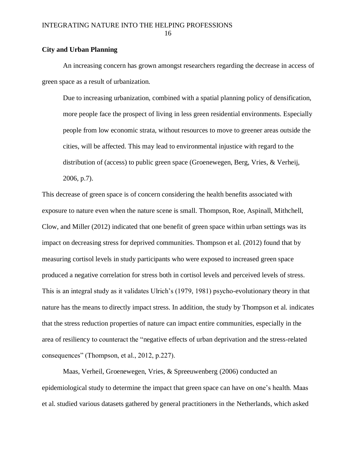#### **City and Urban Planning**

An increasing concern has grown amongst researchers regarding the decrease in access of green space as a result of urbanization.

Due to increasing urbanization, combined with a spatial planning policy of densification, more people face the prospect of living in less green residential environments. Especially people from low economic strata, without resources to move to greener areas outside the cities, will be affected. This may lead to environmental injustice with regard to the distribution of (access) to public green space (Groenewegen, Berg, Vries, & Verheij, 2006, p.7).

This decrease of green space is of concern considering the health benefits associated with exposure to nature even when the nature scene is small. Thompson, Roe, Aspinall, Mithchell, Clow, and Miller (2012) indicated that one benefit of green space within urban settings was its impact on decreasing stress for deprived communities. Thompson et al. (2012) found that by measuring cortisol levels in study participants who were exposed to increased green space produced a negative correlation for stress both in cortisol levels and perceived levels of stress. This is an integral study as it validates Ulrich's (1979, 1981) psycho-evolutionary theory in that nature has the means to directly impact stress. In addition, the study by Thompson et al. indicates that the stress reduction properties of nature can impact entire communities, especially in the area of resiliency to counteract the "negative effects of urban deprivation and the stress-related consequences" (Thompson, et al., 2012, p.227).

Maas, Verheil, Groenewegen, Vries, & Spreeuwenberg (2006) conducted an epidemiological study to determine the impact that green space can have on one's health. Maas et al. studied various datasets gathered by general practitioners in the Netherlands, which asked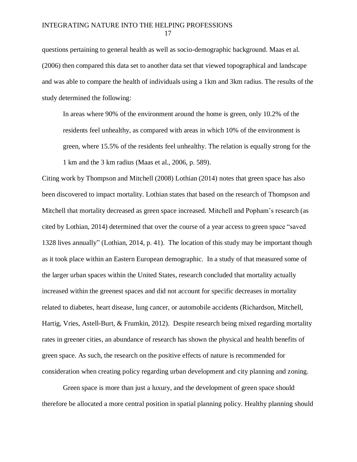questions pertaining to general health as well as socio-demographic background. Maas et al. (2006) then compared this data set to another data set that viewed topographical and landscape and was able to compare the health of individuals using a 1km and 3km radius. The results of the study determined the following:

In areas where 90% of the environment around the home is green, only 10.2% of the residents feel unhealthy, as compared with areas in which 10% of the environment is green, where 15.5% of the residents feel unhealthy. The relation is equally strong for the 1 km and the 3 km radius (Maas et al., 2006, p. 589).

Citing work by Thompson and Mitchell (2008) Lothian (2014) notes that green space has also been discovered to impact mortality. Lothian states that based on the research of Thompson and Mitchell that mortality decreased as green space increased. Mitchell and Popham's research (as cited by Lothian, 2014) determined that over the course of a year access to green space "saved 1328 lives annually" (Lothian, 2014, p. 41). The location of this study may be important though as it took place within an Eastern European demographic. In a study of that measured some of the larger urban spaces within the United States, research concluded that mortality actually increased within the greenest spaces and did not account for specific decreases in mortality related to diabetes, heart disease, lung cancer, or automobile accidents (Richardson, Mitchell, Hartig, Vries, Astell-Burt, & Frumkin, 2012). Despite research being mixed regarding mortality rates in greener cities, an abundance of research has shown the physical and health benefits of green space. As such, the research on the positive effects of nature is recommended for consideration when creating policy regarding urban development and city planning and zoning.

Green space is more than just a luxury, and the development of green space should therefore be allocated a more central position in spatial planning policy. Healthy planning should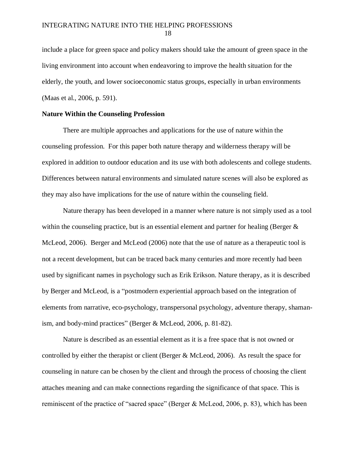include a place for green space and policy makers should take the amount of green space in the living environment into account when endeavoring to improve the health situation for the elderly, the youth, and lower socioeconomic status groups, especially in urban environments (Maas et al., 2006, p. 591).

#### **Nature Within the Counseling Profession**

There are multiple approaches and applications for the use of nature within the counseling profession. For this paper both nature therapy and wilderness therapy will be explored in addition to outdoor education and its use with both adolescents and college students. Differences between natural environments and simulated nature scenes will also be explored as they may also have implications for the use of nature within the counseling field.

Nature therapy has been developed in a manner where nature is not simply used as a tool within the counseling practice, but is an essential element and partner for healing (Berger  $\&$ McLeod, 2006). Berger and McLeod (2006) note that the use of nature as a therapeutic tool is not a recent development, but can be traced back many centuries and more recently had been used by significant names in psychology such as Erik Erikson. Nature therapy, as it is described by Berger and McLeod, is a "postmodern experiential approach based on the integration of elements from narrative, eco-psychology, transpersonal psychology, adventure therapy, shamanism, and body-mind practices" (Berger & McLeod, 2006, p. 81-82).

Nature is described as an essential element as it is a free space that is not owned or controlled by either the therapist or client (Berger & McLeod, 2006). As result the space for counseling in nature can be chosen by the client and through the process of choosing the client attaches meaning and can make connections regarding the significance of that space. This is reminiscent of the practice of "sacred space" (Berger & McLeod, 2006, p. 83), which has been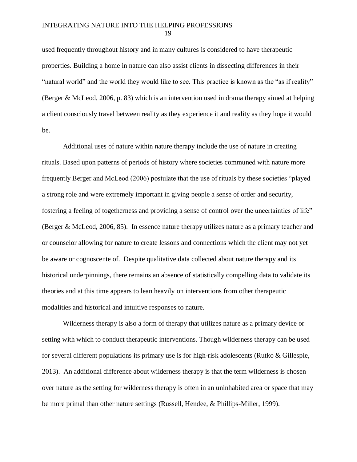used frequently throughout history and in many cultures is considered to have therapeutic properties. Building a home in nature can also assist clients in dissecting differences in their "natural world" and the world they would like to see. This practice is known as the "as if reality" (Berger & McLeod, 2006, p. 83) which is an intervention used in drama therapy aimed at helping a client consciously travel between reality as they experience it and reality as they hope it would be.

Additional uses of nature within nature therapy include the use of nature in creating rituals. Based upon patterns of periods of history where societies communed with nature more frequently Berger and McLeod (2006) postulate that the use of rituals by these societies "played a strong role and were extremely important in giving people a sense of order and security, fostering a feeling of togetherness and providing a sense of control over the uncertainties of life" (Berger & McLeod, 2006, 85). In essence nature therapy utilizes nature as a primary teacher and or counselor allowing for nature to create lessons and connections which the client may not yet be aware or cognoscente of. Despite qualitative data collected about nature therapy and its historical underpinnings, there remains an absence of statistically compelling data to validate its theories and at this time appears to lean heavily on interventions from other therapeutic modalities and historical and intuitive responses to nature.

Wilderness therapy is also a form of therapy that utilizes nature as a primary device or setting with which to conduct therapeutic interventions. Though wilderness therapy can be used for several different populations its primary use is for high-risk adolescents (Rutko & Gillespie, 2013). An additional difference about wilderness therapy is that the term wilderness is chosen over nature as the setting for wilderness therapy is often in an uninhabited area or space that may be more primal than other nature settings (Russell, Hendee, & Phillips-Miller, 1999).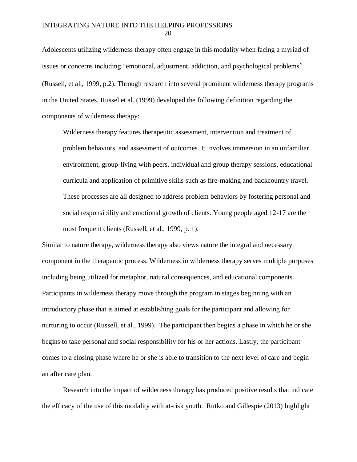Adolescents utilizing wilderness therapy often engage in this modality when facing a myriad of issues or concerns including "emotional, adjustment, addiction, and psychological problems" (Russell, et al., 1999, p.2). Through research into several prominent wilderness therapy programs in the United States, Russel et al. (1999) developed the following definition regarding the components of wilderness therapy:

Wilderness therapy features therapeutic assessment, intervention and treatment of problem behaviors, and assessment of outcomes. It involves immersion in an unfamiliar environment, group-living with peers, individual and group therapy sessions, educational curricula and application of primitive skills such as fire-making and backcountry travel. These processes are all designed to address problem behaviors by fostering personal and social responsibility and emotional growth of clients. Young people aged 12-17 are the most frequent clients (Russell, et al., 1999, p. 1).

Similar to nature therapy, wilderness therapy also views nature the integral and necessary component in the therapeutic process. Wilderness in wilderness therapy serves multiple purposes including being utilized for metaphor, natural consequences, and educational components. Participants in wilderness therapy move through the program in stages beginning with an introductory phase that is aimed at establishing goals for the participant and allowing for nurturing to occur (Russell, et al., 1999). The participant then begins a phase in which he or she begins to take personal and social responsibility for his or her actions. Lastly, the participant comes to a closing phase where he or she is able to transition to the next level of care and begin an after care plan.

Research into the impact of wilderness therapy has produced positive results that indicate the efficacy of the use of this modality with at-risk youth. Rutko and Gillespie (2013) highlight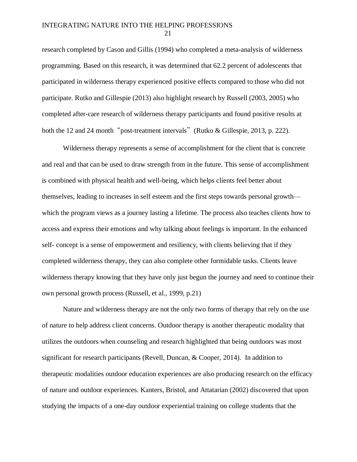research completed by Cason and Gillis (1994) who completed a meta-analysis of wilderness programming. Based on this research, it was determined that 62.2 percent of adolescents that participated in wilderness therapy experienced positive effects compared to those who did not participate. Rutko and Gillespie (2013) also highlight research by Russell (2003, 2005) who completed after-care research of wilderness therapy participants and found positive results at both the 12 and 24 month "post-treatment intervals" (Rutko & Gillespie, 2013, p. 222).

Wilderness therapy represents a sense of accomplishment for the client that is concrete and real and that can be used to draw strength from in the future. This sense of accomplishment is combined with physical health and well-being, which helps clients feel better about themselves, leading to increases in self esteem and the first steps towards personal growth which the program views as a journey lasting a lifetime. The process also teaches clients how to access and express their emotions and why talking about feelings is important. In the enhanced self- concept is a sense of empowerment and resiliency, with clients believing that if they completed wilderness therapy, they can also complete other formidable tasks. Clients leave wilderness therapy knowing that they have only just begun the journey and need to continue their own personal growth process (Russell, et al., 1999, p.21)

Nature and wilderness therapy are not the only two forms of therapy that rely on the use of nature to help address client concerns. Outdoor therapy is another therapeutic modality that utilizes the outdoors when counseling and research highlighted that being outdoors was most significant for research participants (Revell, Duncan, & Cooper, 2014). In addition to therapeutic modalities outdoor education experiences are also producing research on the efficacy of nature and outdoor experiences. Kanters, Bristol, and Attatarian (2002) discovered that upon studying the impacts of a one-day outdoor experiential training on college students that the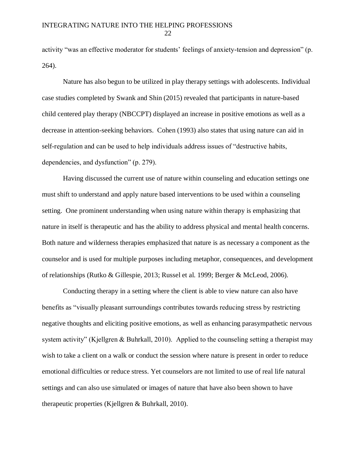activity "was an effective moderator for students' feelings of anxiety-tension and depression" (p. 264).

Nature has also begun to be utilized in play therapy settings with adolescents. Individual case studies completed by Swank and Shin (2015) revealed that participants in nature-based child centered play therapy (NBCCPT) displayed an increase in positive emotions as well as a decrease in attention-seeking behaviors. Cohen (1993) also states that using nature can aid in self-regulation and can be used to help individuals address issues of "destructive habits, dependencies, and dysfunction" (p. 279).

Having discussed the current use of nature within counseling and education settings one must shift to understand and apply nature based interventions to be used within a counseling setting. One prominent understanding when using nature within therapy is emphasizing that nature in itself is therapeutic and has the ability to address physical and mental health concerns. Both nature and wilderness therapies emphasized that nature is as necessary a component as the counselor and is used for multiple purposes including metaphor, consequences, and development of relationships (Rutko & Gillespie, 2013; Russel et al. 1999; Berger & McLeod, 2006).

Conducting therapy in a setting where the client is able to view nature can also have benefits as "visually pleasant surroundings contributes towards reducing stress by restricting negative thoughts and eliciting positive emotions, as well as enhancing parasympathetic nervous system activity" (Kjellgren & Buhrkall, 2010). Applied to the counseling setting a therapist may wish to take a client on a walk or conduct the session where nature is present in order to reduce emotional difficulties or reduce stress. Yet counselors are not limited to use of real life natural settings and can also use simulated or images of nature that have also been shown to have therapeutic properties (Kjellgren & Buhrkall, 2010).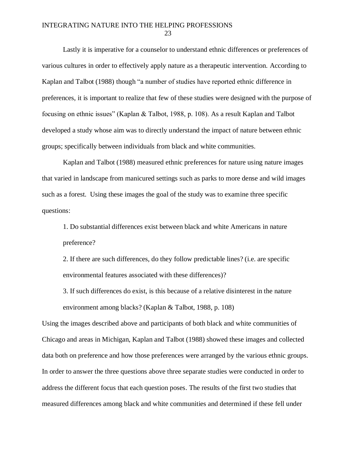Lastly it is imperative for a counselor to understand ethnic differences or preferences of various cultures in order to effectively apply nature as a therapeutic intervention. According to Kaplan and Talbot (1988) though "a number of studies have reported ethnic difference in preferences, it is important to realize that few of these studies were designed with the purpose of focusing on ethnic issues" (Kaplan & Talbot, 1988, p. 108). As a result Kaplan and Talbot developed a study whose aim was to directly understand the impact of nature between ethnic groups; specifically between individuals from black and white communities.

Kaplan and Talbot (1988) measured ethnic preferences for nature using nature images that varied in landscape from manicured settings such as parks to more dense and wild images such as a forest. Using these images the goal of the study was to examine three specific questions:

1. Do substantial differences exist between black and white Americans in nature preference?

2. If there are such differences, do they follow predictable lines? (i.e. are specific environmental features associated with these differences)?

3. If such differences do exist, is this because of a relative disinterest in the nature environment among blacks? (Kaplan & Talbot, 1988, p. 108)

Using the images described above and participants of both black and white communities of Chicago and areas in Michigan, Kaplan and Talbot (1988) showed these images and collected data both on preference and how those preferences were arranged by the various ethnic groups. In order to answer the three questions above three separate studies were conducted in order to address the different focus that each question poses. The results of the first two studies that measured differences among black and white communities and determined if these fell under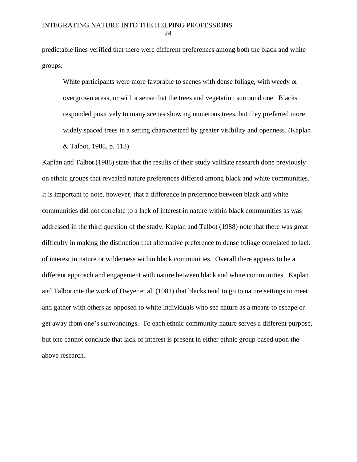predictable lines verified that there were different preferences among both the black and white groups.

White participants were more favorable to scenes with dense foliage, with weedy or overgrown areas, or with a sense that the trees and vegetation surround one. Blacks responded positively to many scenes showing numerous trees, but they preferred more widely spaced trees in a setting characterized by greater visibility and openness. (Kaplan & Talbot, 1988, p. 113).

Kaplan and Talbot (1988) state that the results of their study validate research done previously on ethnic groups that revealed nature preferences differed among black and white communities. It is important to note, however, that a difference in preference between black and white communities did not correlate to a lack of interest in nature within black communities as was addressed in the third question of the study. Kaplan and Talbot (1988) note that there was great difficulty in making the distinction that alternative preference to dense foliage correlated to lack of interest in nature or wilderness within black communities. Overall there appears to be a different approach and engagement with nature between black and white communities. Kaplan and Talbot cite the work of Dwyer et al. (1981) that blacks tend to go to nature settings to meet and gather with others as opposed to white individuals who see nature as a means to escape or get away from one's surroundings. To each ethnic community nature serves a different purpose, but one cannot conclude that lack of interest is present in either ethnic group based upon the above research.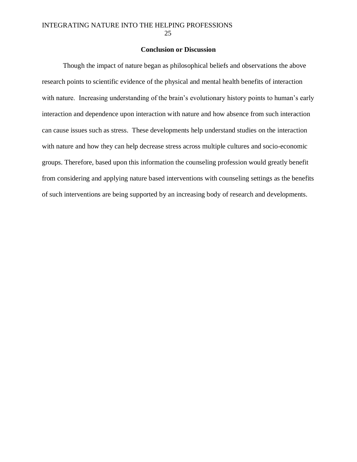#### **Conclusion or Discussion**

Though the impact of nature began as philosophical beliefs and observations the above research points to scientific evidence of the physical and mental health benefits of interaction with nature. Increasing understanding of the brain's evolutionary history points to human's early interaction and dependence upon interaction with nature and how absence from such interaction can cause issues such as stress. These developments help understand studies on the interaction with nature and how they can help decrease stress across multiple cultures and socio-economic groups. Therefore, based upon this information the counseling profession would greatly benefit from considering and applying nature based interventions with counseling settings as the benefits of such interventions are being supported by an increasing body of research and developments.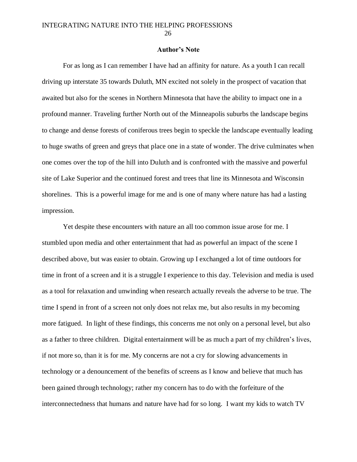#### **Author's Note**

For as long as I can remember I have had an affinity for nature. As a youth I can recall driving up interstate 35 towards Duluth, MN excited not solely in the prospect of vacation that awaited but also for the scenes in Northern Minnesota that have the ability to impact one in a profound manner. Traveling further North out of the Minneapolis suburbs the landscape begins to change and dense forests of coniferous trees begin to speckle the landscape eventually leading to huge swaths of green and greys that place one in a state of wonder. The drive culminates when one comes over the top of the hill into Duluth and is confronted with the massive and powerful site of Lake Superior and the continued forest and trees that line its Minnesota and Wisconsin shorelines. This is a powerful image for me and is one of many where nature has had a lasting impression.

Yet despite these encounters with nature an all too common issue arose for me. I stumbled upon media and other entertainment that had as powerful an impact of the scene I described above, but was easier to obtain. Growing up I exchanged a lot of time outdoors for time in front of a screen and it is a struggle I experience to this day. Television and media is used as a tool for relaxation and unwinding when research actually reveals the adverse to be true. The time I spend in front of a screen not only does not relax me, but also results in my becoming more fatigued. In light of these findings, this concerns me not only on a personal level, but also as a father to three children. Digital entertainment will be as much a part of my children's lives, if not more so, than it is for me. My concerns are not a cry for slowing advancements in technology or a denouncement of the benefits of screens as I know and believe that much has been gained through technology; rather my concern has to do with the forfeiture of the interconnectedness that humans and nature have had for so long. I want my kids to watch TV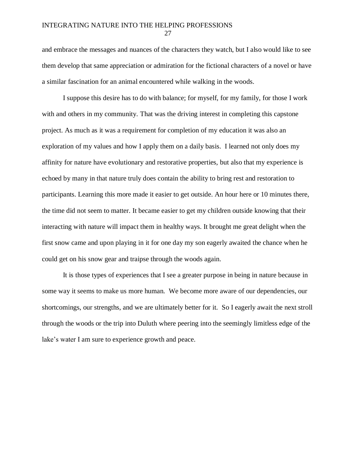and embrace the messages and nuances of the characters they watch, but I also would like to see them develop that same appreciation or admiration for the fictional characters of a novel or have a similar fascination for an animal encountered while walking in the woods.

I suppose this desire has to do with balance; for myself, for my family, for those I work with and others in my community. That was the driving interest in completing this capstone project. As much as it was a requirement for completion of my education it was also an exploration of my values and how I apply them on a daily basis. I learned not only does my affinity for nature have evolutionary and restorative properties, but also that my experience is echoed by many in that nature truly does contain the ability to bring rest and restoration to participants. Learning this more made it easier to get outside. An hour here or 10 minutes there, the time did not seem to matter. It became easier to get my children outside knowing that their interacting with nature will impact them in healthy ways. It brought me great delight when the first snow came and upon playing in it for one day my son eagerly awaited the chance when he could get on his snow gear and traipse through the woods again.

It is those types of experiences that I see a greater purpose in being in nature because in some way it seems to make us more human. We become more aware of our dependencies, our shortcomings, our strengths, and we are ultimately better for it. So I eagerly await the next stroll through the woods or the trip into Duluth where peering into the seemingly limitless edge of the lake's water I am sure to experience growth and peace.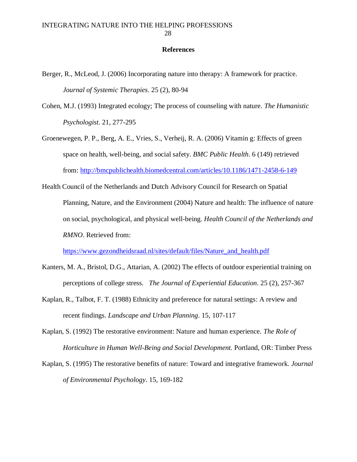#### **References**

- Berger, R., McLeod, J. (2006) Incorporating nature into therapy: A framework for practice. *Journal of Systemic Therapies*. 25 (2), 80-94
- Cohen, M.J. (1993) Integrated ecology; The process of counseling with nature. *The Humanistic Psychologist*. 21, 277-295
- Groenewegen, P. P., Berg, A. E., Vries, S., Verheij, R. A. (2006) Vitamin g: Effects of green space on health, well-being, and social safety. *BMC Public Health*. 6 (149) retrieved from:<http://bmcpublichealth.biomedcentral.com/articles/10.1186/1471-2458-6-149>
- Health Council of the Netherlands and Dutch Advisory Council for Research on Spatial Planning, Nature, and the Environment (2004) Nature and health: The influence of nature on social, psychological, and physical well-being. *Health Council of the Netherlands and RMNO*. Retrieved from:

[https://www.gezondheidsraad.nl/sites/default/files/Nature\\_and\\_health.pdf](https://www.gezondheidsraad.nl/sites/default/files/Nature_and_health.pdf)

- Kanters, M. A., Bristol, D.G., Attarian, A. (2002) The effects of outdoor experiential training on perceptions of college stress. *The Journal of Experiential Education*. 25 (2), 257-367
- Kaplan, R., Talbot, F. T. (1988) Ethnicity and preference for natural settings: A review and recent findings. *Landscape and Urban Planning*. 15, 107-117
- Kaplan, S. (1992) The restorative environment: Nature and human experience. *The Role of Horticulture in Human Well-Being and Social Development.* Portland, OR: Timber Press
- Kaplan, S. (1995) The restorative benefits of nature: Toward and integrative framework. *Journal of Environmental Psychology*. 15, 169-182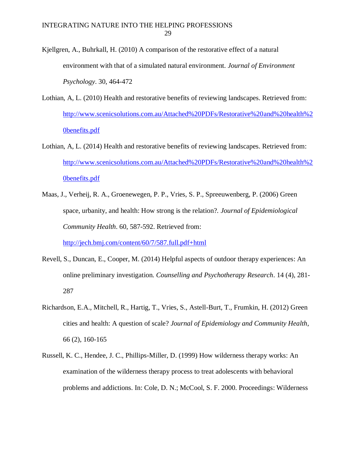- Kjellgren, A., Buhrkall, H. (2010) A comparison of the restorative effect of a natural environment with that of a simulated natural environment. *Journal of Environment Psychology*. 30, 464-472
- Lothian, A, L. (2010) Health and restorative benefits of reviewing landscapes. Retrieved from: [http://www.scenicsolutions.com.au/Attached%20PDFs/Restorative%20and%20health%2](http://www.scenicsolutions.com.au/Attached%20PDFs/Restorative%20and%20health%20benefits.pdf) [0benefits.pdf](http://www.scenicsolutions.com.au/Attached%20PDFs/Restorative%20and%20health%20benefits.pdf)
- Lothian, A, L. (2014) Health and restorative benefits of reviewing landscapes. Retrieved from: [http://www.scenicsolutions.com.au/Attached%20PDFs/Restorative%20and%20health%2](http://www.scenicsolutions.com.au/Attached%20PDFs/Restorative%20and%20health%20benefits.pdf) [0benefits.pdf](http://www.scenicsolutions.com.au/Attached%20PDFs/Restorative%20and%20health%20benefits.pdf)
- Maas, J., Verheij, R. A., Groenewegen, P. P., Vries, S. P., Spreeuwenberg, P. (2006) Green space, urbanity, and health: How strong is the relation?. *Journal of Epidemiological Community Health*. 60, 587-592. Retrieved from:

<http://jech.bmj.com/content/60/7/587.full.pdf+html>

- Revell, S., Duncan, E., Cooper, M. (2014) Helpful aspects of outdoor therapy experiences: An online preliminary investigation. *Counselling and Psychotherapy Research*. 14 (4), 281- 287
- Richardson, E.A., Mitchell, R., Hartig, T., Vries, S., Astell-Burt, T., Frumkin, H. (2012) Green cities and health: A question of scale? *Journal of Epidemiology and Community Health*, 66 (2), 160-165
- Russell, K. C., Hendee, J. C., Phillips-Miller, D. (1999) How wilderness therapy works: An examination of the wilderness therapy process to treat adolescents with behavioral problems and addictions. In: Cole, D. N.; McCool, S. F. 2000. Proceedings: Wilderness